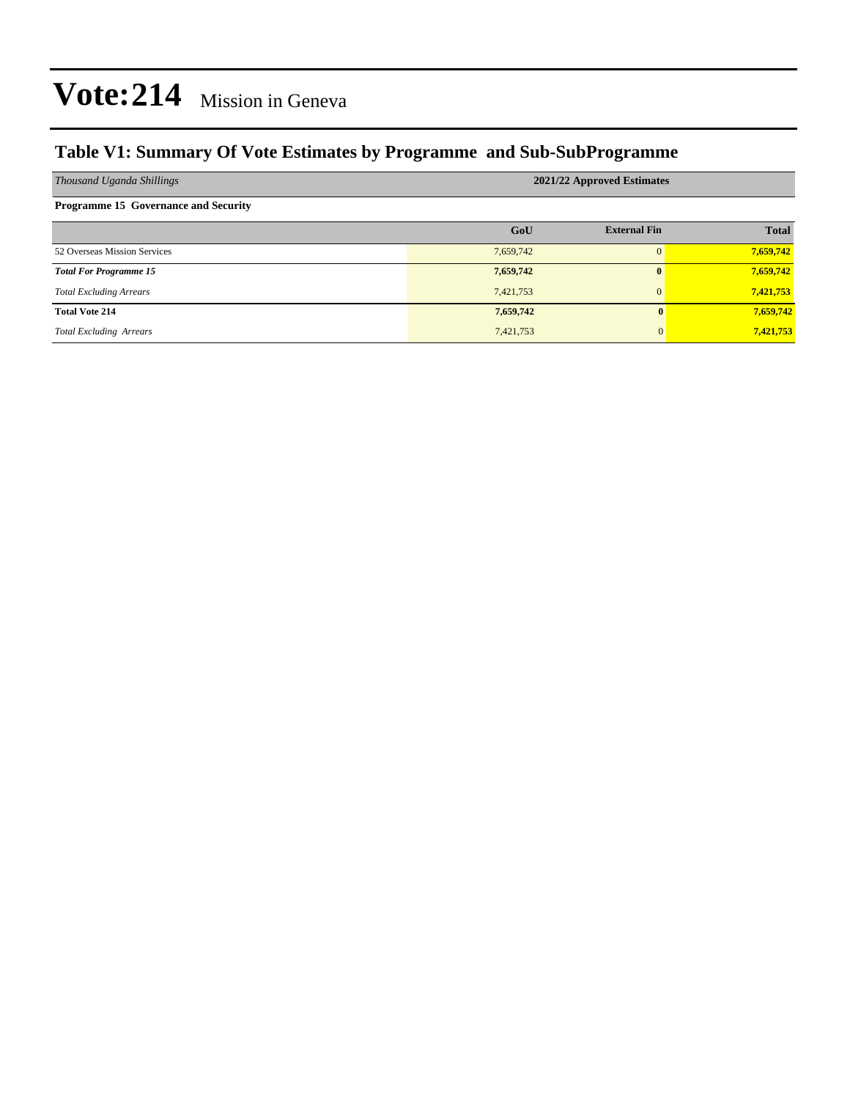### **Table V1: Summary Of Vote Estimates by Programme and Sub-SubProgramme**

| Thousand Uganda Shillings                   | 2021/22 Approved Estimates |                     |              |  |  |  |  |
|---------------------------------------------|----------------------------|---------------------|--------------|--|--|--|--|
| <b>Programme 15 Governance and Security</b> |                            |                     |              |  |  |  |  |
|                                             | GoU                        | <b>External Fin</b> | <b>Total</b> |  |  |  |  |
| 52 Overseas Mission Services                | 7,659,742                  | $\Omega$            | 7,659,742    |  |  |  |  |
| <b>Total For Programme 15</b>               | 7,659,742                  | $\mathbf{0}$        | 7,659,742    |  |  |  |  |
| <b>Total Excluding Arrears</b>              | 7,421,753                  | $\mathbf{0}$        | 7,421,753    |  |  |  |  |
| <b>Total Vote 214</b>                       | 7,659,742                  | 0                   | 7,659,742    |  |  |  |  |
| <b>Total Excluding Arrears</b>              | 7,421,753                  | $\mathbf{0}$        | 7,421,753    |  |  |  |  |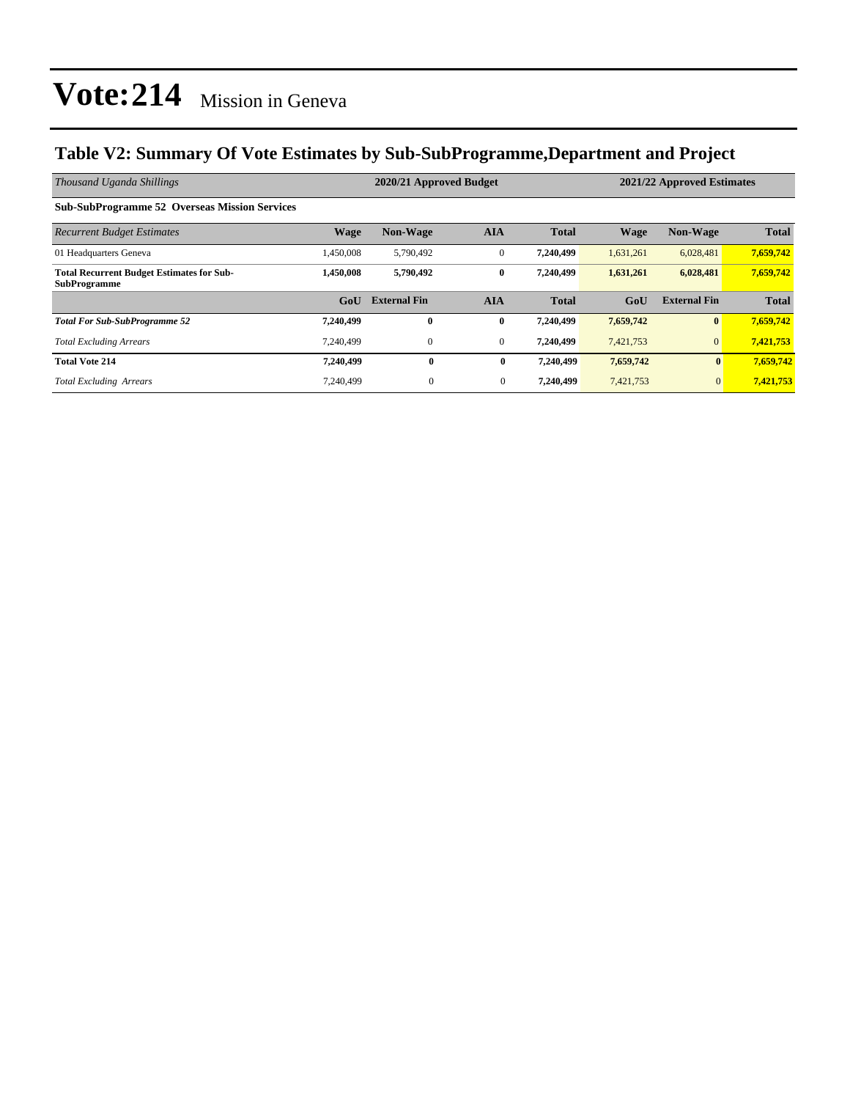### **Table V2: Summary Of Vote Estimates by Sub-SubProgramme,Department and Project**

| Thousand Uganda Shillings                                               |                  | 2020/21 Approved Budget |                |              | 2021/22 Approved Estimates |                     |              |
|-------------------------------------------------------------------------|------------------|-------------------------|----------------|--------------|----------------------------|---------------------|--------------|
| <b>Sub-SubProgramme 52 Overseas Mission Services</b>                    |                  |                         |                |              |                            |                     |              |
| <b>Recurrent Budget Estimates</b>                                       | <b>Wage</b>      | <b>Non-Wage</b>         | <b>AIA</b>     | <b>Total</b> | <b>Wage</b>                | <b>Non-Wage</b>     | <b>Total</b> |
| 01 Headquarters Geneva                                                  | 1,450,008        | 5,790,492               | $\mathbf{0}$   | 7,240,499    | 1,631,261                  | 6,028,481           | 7,659,742    |
| <b>Total Recurrent Budget Estimates for Sub-</b><br><b>SubProgramme</b> | 1.450.008        | 5,790,492               | $\bf{0}$       | 7,240,499    | 1,631,261                  | 6,028,481           | 7,659,742    |
|                                                                         | G <sub>0</sub> U | <b>External Fin</b>     | <b>AIA</b>     | <b>Total</b> | GoU                        | <b>External Fin</b> | <b>Total</b> |
| <b>Total For Sub-SubProgramme 52</b>                                    | 7,240,499        | $\bf{0}$                | $\bf{0}$       | 7,240,499    | 7,659,742                  | $\bf{0}$            | 7,659,742    |
| <b>Total Excluding Arrears</b>                                          | 7.240.499        | $\mathbf{0}$            | $\mathbf{0}$   | 7,240,499    | 7,421,753                  | $\overline{0}$      | 7,421,753    |
| <b>Total Vote 214</b>                                                   | 7,240,499        | $\bf{0}$                | $\bf{0}$       | 7,240,499    | 7,659,742                  | $\mathbf{0}$        | 7,659,742    |
| <b>Total Excluding Arrears</b>                                          | 7.240.499        | $\mathbf{0}$            | $\overline{0}$ | 7,240,499    | 7,421,753                  | $\mathbf{0}$        | 7,421,753    |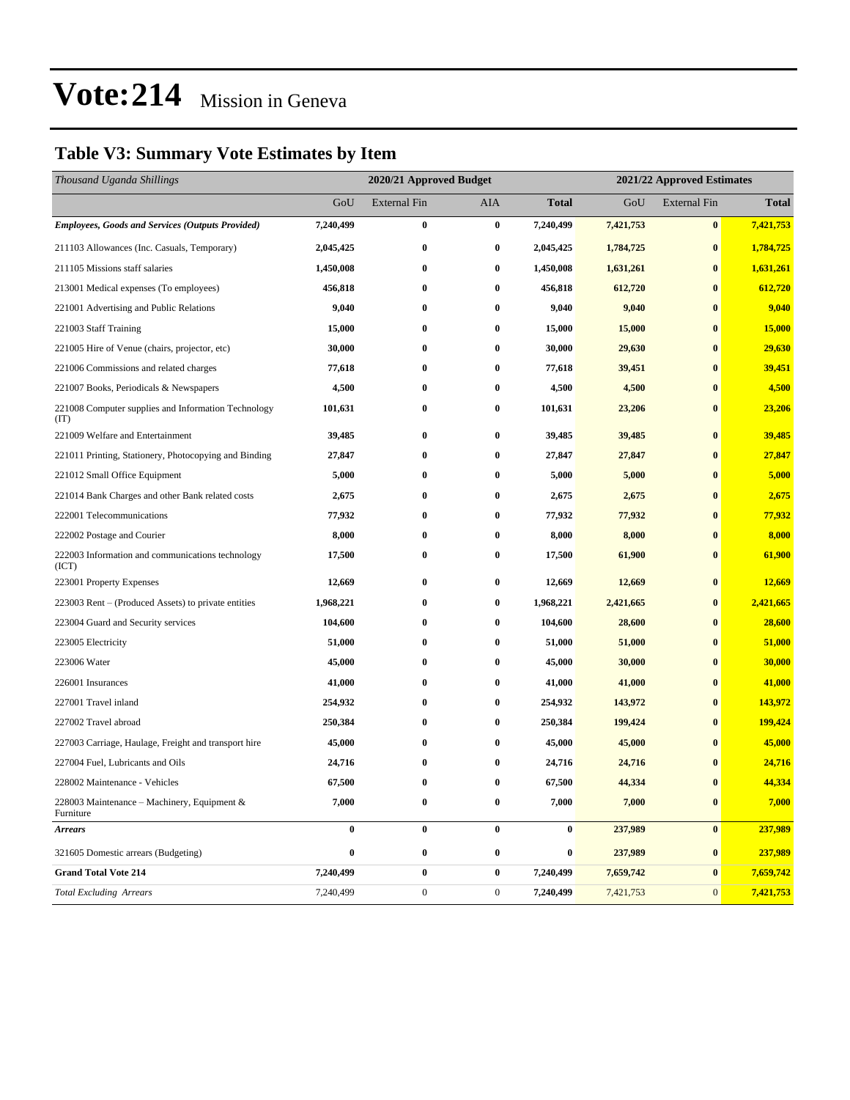### **Table V3: Summary Vote Estimates by Item**

| Thousand Uganda Shillings                                   | 2020/21 Approved Budget |                     |                  |                  |           | 2021/22 Approved Estimates |              |  |
|-------------------------------------------------------------|-------------------------|---------------------|------------------|------------------|-----------|----------------------------|--------------|--|
|                                                             | GoU                     | <b>External Fin</b> | <b>AIA</b>       | <b>Total</b>     | GoU       | <b>External Fin</b>        | <b>Total</b> |  |
| <b>Employees, Goods and Services (Outputs Provided)</b>     | 7,240,499               | $\bf{0}$            | $\bf{0}$         | 7,240,499        | 7,421,753 | $\bf{0}$                   | 7,421,753    |  |
| 211103 Allowances (Inc. Casuals, Temporary)                 | 2,045,425               | $\bf{0}$            | $\bf{0}$         | 2,045,425        | 1,784,725 | $\bf{0}$                   | 1,784,725    |  |
| 211105 Missions staff salaries                              | 1,450,008               | $\bf{0}$            | $\bf{0}$         | 1,450,008        | 1,631,261 | $\bf{0}$                   | 1,631,261    |  |
| 213001 Medical expenses (To employees)                      | 456,818                 | $\bf{0}$            | $\bf{0}$         | 456,818          | 612,720   | $\bf{0}$                   | 612,720      |  |
| 221001 Advertising and Public Relations                     | 9,040                   | $\bf{0}$            | $\bf{0}$         | 9,040            | 9,040     | $\bf{0}$                   | 9,040        |  |
| 221003 Staff Training                                       | 15,000                  | $\bf{0}$            | $\bf{0}$         | 15,000           | 15,000    | $\bf{0}$                   | 15,000       |  |
| 221005 Hire of Venue (chairs, projector, etc)               | 30,000                  | $\bf{0}$            | $\bf{0}$         | 30,000           | 29,630    | $\bf{0}$                   | 29,630       |  |
| 221006 Commissions and related charges                      | 77,618                  | 0                   | $\bf{0}$         | 77,618           | 39,451    | $\bf{0}$                   | 39,451       |  |
| 221007 Books, Periodicals & Newspapers                      | 4,500                   | $\bf{0}$            | $\bf{0}$         | 4,500            | 4,500     | $\bf{0}$                   | 4,500        |  |
| 221008 Computer supplies and Information Technology<br>(TT) | 101,631                 | $\bf{0}$            | $\bf{0}$         | 101,631          | 23,206    | $\bf{0}$                   | 23,206       |  |
| 221009 Welfare and Entertainment                            | 39,485                  | $\bf{0}$            | $\bf{0}$         | 39,485           | 39,485    | $\bf{0}$                   | 39,485       |  |
| 221011 Printing, Stationery, Photocopying and Binding       | 27,847                  | 0                   | $\bf{0}$         | 27,847           | 27,847    | $\bf{0}$                   | 27,847       |  |
| 221012 Small Office Equipment                               | 5,000                   | $\bf{0}$            | $\bf{0}$         | 5,000            | 5,000     | $\bf{0}$                   | 5,000        |  |
| 221014 Bank Charges and other Bank related costs            | 2,675                   | $\bf{0}$            | $\bf{0}$         | 2,675            | 2,675     | $\bf{0}$                   | 2,675        |  |
| 222001 Telecommunications                                   | 77,932                  | $\bf{0}$            | $\bf{0}$         | 77,932           | 77,932    | $\bf{0}$                   | 77,932       |  |
| 222002 Postage and Courier                                  | 8,000                   | 0                   | $\bf{0}$         | 8,000            | 8,000     | $\bf{0}$                   | 8,000        |  |
| 222003 Information and communications technology<br>(ICT)   | 17,500                  | $\bf{0}$            | $\bf{0}$         | 17,500           | 61,900    | $\bf{0}$                   | 61,900       |  |
| 223001 Property Expenses                                    | 12,669                  | $\bf{0}$            | $\bf{0}$         | 12,669           | 12,669    | $\bf{0}$                   | 12,669       |  |
| 223003 Rent – (Produced Assets) to private entities         | 1,968,221               | $\bf{0}$            | $\bf{0}$         | 1,968,221        | 2,421,665 | $\bf{0}$                   | 2,421,665    |  |
| 223004 Guard and Security services                          | 104,600                 | $\bf{0}$            | $\bf{0}$         | 104,600          | 28,600    | $\bf{0}$                   | 28,600       |  |
| 223005 Electricity                                          | 51,000                  | $\bf{0}$            | $\bf{0}$         | 51,000           | 51,000    | $\bf{0}$                   | 51,000       |  |
| 223006 Water                                                | 45,000                  | $\bf{0}$            | $\bf{0}$         | 45,000           | 30,000    | $\bf{0}$                   | 30,000       |  |
| 226001 Insurances                                           | 41,000                  | $\bf{0}$            | $\bf{0}$         | 41,000           | 41,000    | $\bf{0}$                   | 41,000       |  |
| 227001 Travel inland                                        | 254,932                 | $\bf{0}$            | $\bf{0}$         | 254,932          | 143,972   | $\bf{0}$                   | 143,972      |  |
| 227002 Travel abroad                                        | 250,384                 | $\bf{0}$            | $\bf{0}$         | 250,384          | 199,424   | $\bf{0}$                   | 199,424      |  |
| 227003 Carriage, Haulage, Freight and transport hire        | 45,000                  | 0                   | $\bf{0}$         | 45,000           | 45,000    | $\bf{0}$                   | 45,000       |  |
| 227004 Fuel, Lubricants and Oils                            | 24,716                  | 0                   | $\bf{0}$         | 24,716           | 24,716    | $\bf{0}$                   | 24,716       |  |
| 228002 Maintenance - Vehicles                               | 67,500                  | $\bf{0}$            | $\bf{0}$         | 67,500           | 44,334    | $\bf{0}$                   | 44,334       |  |
| 228003 Maintenance - Machinery, Equipment &<br>Furniture    | 7,000                   | $\boldsymbol{0}$    | $\bf{0}$         | 7,000            | 7,000     | $\pmb{0}$                  | 7,000        |  |
| <b>Arrears</b>                                              | $\boldsymbol{0}$        | $\pmb{0}$           | $\boldsymbol{0}$ | $\bf{0}$         | 237,989   | $\bf{0}$                   | 237,989      |  |
| 321605 Domestic arrears (Budgeting)                         | $\boldsymbol{0}$        | $\boldsymbol{0}$    | $\bf{0}$         | $\boldsymbol{0}$ | 237,989   | $\bf{0}$                   | 237,989      |  |
| <b>Grand Total Vote 214</b>                                 | 7,240,499               | $\pmb{0}$           | $\bf{0}$         | 7,240,499        | 7,659,742 | $\bf{0}$                   | 7,659,742    |  |
| <b>Total Excluding Arrears</b>                              | 7,240,499               | $\boldsymbol{0}$    | $\boldsymbol{0}$ | 7,240,499        | 7,421,753 | $\mathbf{0}$               | 7,421,753    |  |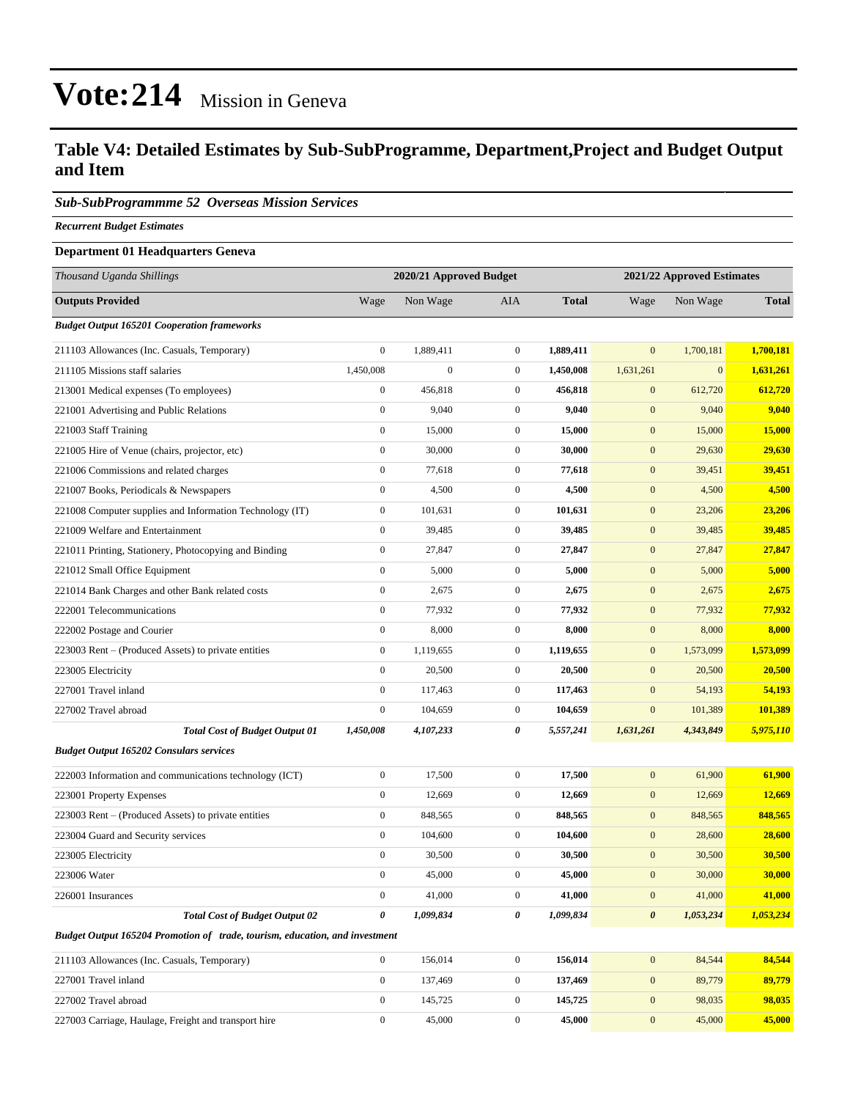#### **Table V4: Detailed Estimates by Sub-SubProgramme, Department,Project and Budget Output and Item**

#### *Sub-SubProgrammme 52 Overseas Mission Services*

*Recurrent Budget Estimates*

#### **Department 01 Headquarters Geneva**

| Thousand Uganda Shillings                                                   | 2020/21 Approved Budget |                  |                  | 2021/22 Approved Estimates |                       |              |              |
|-----------------------------------------------------------------------------|-------------------------|------------------|------------------|----------------------------|-----------------------|--------------|--------------|
| <b>Outputs Provided</b>                                                     | Wage                    | Non Wage         | AIA              | <b>Total</b>               | Wage                  | Non Wage     | <b>Total</b> |
| <b>Budget Output 165201 Cooperation frameworks</b>                          |                         |                  |                  |                            |                       |              |              |
| 211103 Allowances (Inc. Casuals, Temporary)                                 | $\boldsymbol{0}$        | 1,889,411        | $\overline{0}$   | 1,889,411                  | $\mathbf{0}$          | 1,700,181    | 1,700,181    |
| 211105 Missions staff salaries                                              | 1,450,008               | $\boldsymbol{0}$ | $\boldsymbol{0}$ | 1,450,008                  | 1,631,261             | $\mathbf{0}$ | 1,631,261    |
| 213001 Medical expenses (To employees)                                      | $\boldsymbol{0}$        | 456,818          | $\mathbf{0}$     | 456,818                    | $\mathbf{0}$          | 612,720      | 612,720      |
| 221001 Advertising and Public Relations                                     | $\boldsymbol{0}$        | 9,040            | $\mathbf{0}$     | 9,040                      | $\mathbf{0}$          | 9,040        | 9,040        |
| 221003 Staff Training                                                       | $\boldsymbol{0}$        | 15,000           | $\boldsymbol{0}$ | 15,000                     | $\boldsymbol{0}$      | 15,000       | 15,000       |
| 221005 Hire of Venue (chairs, projector, etc)                               | $\boldsymbol{0}$        | 30,000           | $\overline{0}$   | 30,000                     | $\mathbf{0}$          | 29,630       | 29,630       |
| 221006 Commissions and related charges                                      | $\boldsymbol{0}$        | 77,618           | $\overline{0}$   | 77,618                     | $\mathbf{0}$          | 39,451       | 39,451       |
| 221007 Books, Periodicals & Newspapers                                      | $\boldsymbol{0}$        | 4,500            | $\boldsymbol{0}$ | 4,500                      | $\mathbf{0}$          | 4,500        | 4,500        |
| 221008 Computer supplies and Information Technology (IT)                    | $\boldsymbol{0}$        | 101,631          | $\boldsymbol{0}$ | 101,631                    | $\mathbf{0}$          | 23,206       | 23,206       |
| 221009 Welfare and Entertainment                                            | $\boldsymbol{0}$        | 39,485           | $\boldsymbol{0}$ | 39,485                     | $\mathbf{0}$          | 39,485       | 39,485       |
| 221011 Printing, Stationery, Photocopying and Binding                       | $\boldsymbol{0}$        | 27,847           | $\overline{0}$   | 27,847                     | $\mathbf{0}$          | 27,847       | 27,847       |
| 221012 Small Office Equipment                                               | $\boldsymbol{0}$        | 5,000            | $\overline{0}$   | 5,000                      | $\mathbf{0}$          | 5,000        | 5,000        |
| 221014 Bank Charges and other Bank related costs                            | $\boldsymbol{0}$        | 2,675            | $\mathbf{0}$     | 2,675                      | $\mathbf{0}$          | 2,675        | 2,675        |
| 222001 Telecommunications                                                   | $\boldsymbol{0}$        | 77,932           | $\boldsymbol{0}$ | 77,932                     | $\mathbf{0}$          | 77,932       | 77,932       |
| 222002 Postage and Courier                                                  | $\boldsymbol{0}$        | 8,000            | $\boldsymbol{0}$ | 8,000                      | $\boldsymbol{0}$      | 8,000        | 8,000        |
| 223003 Rent – (Produced Assets) to private entities                         | $\boldsymbol{0}$        | 1,119,655        | $\mathbf{0}$     | 1,119,655                  | $\mathbf{0}$          | 1,573,099    | 1,573,099    |
| 223005 Electricity                                                          | $\boldsymbol{0}$        | 20,500           | $\mathbf{0}$     | 20,500                     | $\mathbf{0}$          | 20,500       | 20,500       |
| 227001 Travel inland                                                        | $\boldsymbol{0}$        | 117,463          | $\boldsymbol{0}$ | 117,463                    | $\mathbf{0}$          | 54,193       | 54,193       |
| 227002 Travel abroad                                                        | $\boldsymbol{0}$        | 104,659          | $\boldsymbol{0}$ | 104,659                    | $\mathbf{0}$          | 101,389      | 101,389      |
| <b>Total Cost of Budget Output 01</b>                                       | 1,450,008               | 4,107,233        | 0                | 5,557,241                  | 1,631,261             | 4,343,849    | 5,975,110    |
| <b>Budget Output 165202 Consulars services</b>                              |                         |                  |                  |                            |                       |              |              |
| 222003 Information and communications technology (ICT)                      | $\boldsymbol{0}$        | 17,500           | $\overline{0}$   | 17,500                     | $\mathbf{0}$          | 61,900       | 61,900       |
| 223001 Property Expenses                                                    | $\boldsymbol{0}$        | 12,669           | $\boldsymbol{0}$ | 12,669                     | $\mathbf{0}$          | 12,669       | 12,669       |
| 223003 Rent - (Produced Assets) to private entities                         | $\boldsymbol{0}$        | 848,565          | $\boldsymbol{0}$ | 848,565                    | $\mathbf{0}$          | 848,565      | 848,565      |
| 223004 Guard and Security services                                          | $\boldsymbol{0}$        | 104,600          | $\mathbf{0}$     | 104,600                    | $\mathbf{0}$          | 28,600       | 28,600       |
| 223005 Electricity                                                          | $\boldsymbol{0}$        | 30,500           | $\mathbf{0}$     | 30,500                     | $\mathbf{0}$          | 30,500       | 30,500       |
| 223006 Water                                                                | $\boldsymbol{0}$        | 45,000           | $\boldsymbol{0}$ | 45,000                     | $\mathbf{0}$          | 30,000       | 30,000       |
| 226001 Insurances                                                           | $\boldsymbol{0}$        | 41,000           | $\overline{0}$   | 41,000                     | $\mathbf{0}$          | 41,000       | 41,000       |
| <b>Total Cost of Budget Output 02</b>                                       | $\boldsymbol{\theta}$   | 1,099,834        | 0                | 1,099,834                  | $\boldsymbol{\theta}$ | 1,053,234    | 1,053,234    |
| Budget Output 165204 Promotion of trade, tourism, education, and investment |                         |                  |                  |                            |                       |              |              |
| 211103 Allowances (Inc. Casuals, Temporary)                                 | $\mathbf{0}$            | 156,014          | $\mathbf{0}$     | 156,014                    | $\boldsymbol{0}$      | 84,544       | 84,544       |
| 227001 Travel inland                                                        | $\mathbf{0}$            | 137,469          | $\boldsymbol{0}$ | 137,469                    | $\boldsymbol{0}$      | 89,779       | 89,779       |
| 227002 Travel abroad                                                        | $\mathbf{0}$            | 145,725          | $\boldsymbol{0}$ | 145,725                    | $\boldsymbol{0}$      | 98,035       | 98,035       |
| 227003 Carriage, Haulage, Freight and transport hire                        | $\boldsymbol{0}$        | 45,000           | $\mathbf{0}$     | 45,000                     | $\boldsymbol{0}$      | 45,000       | 45,000       |